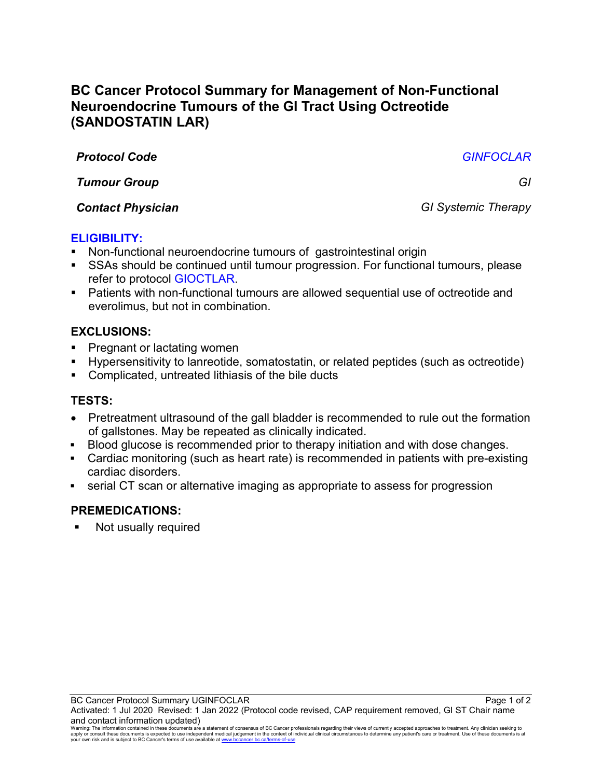# **BC Cancer Protocol Summary for Management of Non-Functional Neuroendocrine Tumours of the GI Tract Using Octreotide (SANDOSTATIN LAR)**

*Protocol Code GINFOCLAR*

*Tumour Group GI*

*Contact Physician GI Systemic Therapy*

## **ELIGIBILITY:**

- Non-functional neuroendocrine tumours of gastrointestinal origin
- SSAs should be continued until tumour progression. For functional tumours, please refer to protocol GIOCTLAR.
- Patients with non-functional tumours are allowed sequential use of octreotide and everolimus, but not in combination.

## **EXCLUSIONS:**

- Pregnant or lactating women
- Hypersensitivity to lanreotide, somatostatin, or related peptides (such as octreotide)
- Complicated, untreated lithiasis of the bile ducts

## **TESTS:**

- Pretreatment ultrasound of the gall bladder is recommended to rule out the formation of gallstones. May be repeated as clinically indicated.
- Blood glucose is recommended prior to therapy initiation and with dose changes.
- Cardiac monitoring (such as heart rate) is recommended in patients with pre-existing cardiac disorders.
- serial CT scan or alternative imaging as appropriate to assess for progression

## **PREMEDICATIONS:**

**Not usually required** 

Warning: The information contained in these documents are a statement of consensus of BC Cancer professionals regarding their views of currently accepted approaches to treatment. Any clinician seeking to<br>apply or consult t